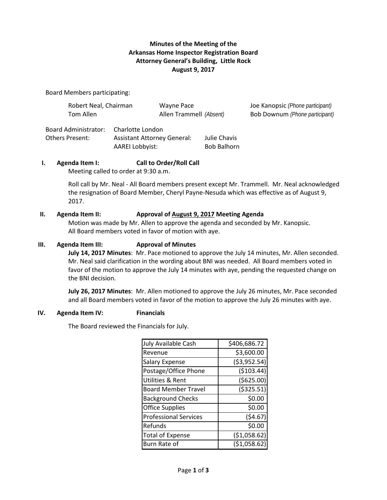# **Minutes of the Meeting of the Arkansas Home Inspector Registration Board Attorney General's Building, Little Rock August 9, 2017**

Board Members participating:

| Robert Neal, Chairman | Wayne Pace              | Joe Kanopsic (Phone participant)      |
|-----------------------|-------------------------|---------------------------------------|
| Tom Allen             | Allen Trammell (Absent) | <b>Bob Downum (Phone participant)</b> |

Board Administrator: Charlotte London Others Present: Assistant Attorney General: Julie Chavis AAREI Lobbyist: Bob Balhorn

# **I. Agenda Item I: Call to Order/Roll Call**

Meeting called to order at 9:30 a.m.

Roll call by Mr. Neal - All Board members present except Mr. Trammell. Mr. Neal acknowledged the resignation of Board Member, Cheryl Payne-Nesuda which was effective as of August 9, 2017.

# **II. Agenda Item II: Approval of August 9, 2017 Meeting Agenda**

Motion was made by Mr. Allen to approve the agenda and seconded by Mr. Kanopsic. All Board members voted in favor of motion with aye.

# **III. Agenda Item III: Approval of Minutes**

**July 14, 2017 Minutes**: Mr. Pace motioned to approve the July 14 minutes, Mr. Allen seconded. Mr. Neal said clarification in the wording about BNI was needed. All Board members voted in favor of the motion to approve the July 14 minutes with aye, pending the requested change on the BNI decision.

**July 26, 2017 Minutes**: Mr. Allen motioned to approve the July 26 minutes, Mr. Pace seconded and all Board members voted in favor of the motion to approve the July 26 minutes with aye.

## **IV. Agenda Item IV: Financials**

The Board reviewed the Financials for July.

| July Available Cash          | \$406,686.72  |
|------------------------------|---------------|
| Revenue                      | \$3,600.00    |
| <b>Salary Expense</b>        | ( \$3,952.54) |
| Postage/Office Phone         | ( \$103.44)   |
| Utilities & Rent             | (\$625.00)    |
| <b>Board Member Travel</b>   | ( \$325.51)   |
| <b>Background Checks</b>     | \$0.00        |
| <b>Office Supplies</b>       | \$0.00        |
| <b>Professional Services</b> | (54.67)       |
| Refunds                      | \$0.00        |
| <b>Total of Expense</b>      | (\$1,058.62)  |
| Burn Rate of                 | ( \$1,058.62  |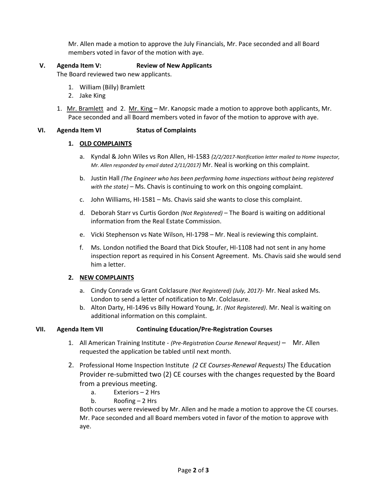Mr. Allen made a motion to approve the July Financials, Mr. Pace seconded and all Board members voted in favor of the motion with aye.

## **V. Agenda Item V: Review of New Applicants**

The Board reviewed two new applicants.

- 1. William (Billy) Bramlett
- 2. Jake King
- 1. Mr. Bramlett and 2. Mr. King Mr. Kanopsic made a motion to approve both applicants, Mr. Pace seconded and all Board members voted in favor of the motion to approve with aye.

# **VI. Agenda Item VI Status of Complaints**

## **1. OLD COMPLAINTS**

- a. Kyndal & John Wiles vs Ron Allen, HI-1583 *(2/2/2017-Notification letter mailed to Home Inspector, Mr. Allen responded by email dated 2/11/2017)* Mr. Neal is working on this complaint.
- b. Justin Hall *(The Engineer who has been performing home inspections without being registered with the state)* – Ms. Chavis is continuing to work on this ongoing complaint.
- c. John Williams, HI-1581 Ms. Chavis said she wants to close this complaint.
- d. Deborah Starr vs Curtis Gordon *(Not Registered)* The Board is waiting on additional information from the Real Estate Commission.
- e. Vicki Stephenson vs Nate Wilson, HI-1798 Mr. Neal is reviewing this complaint.
- f. Ms. London notified the Board that Dick Stoufer, HI-1108 had not sent in any home inspection report as required in his Consent Agreement. Ms. Chavis said she would send him a letter.

## **2. NEW COMPLAINTS**

- a. Cindy Conrade vs Grant Colclasure *(Not Registered) (July, 2017)* Mr. Neal asked Ms. London to send a letter of notification to Mr. Colclasure.
- b. Alton Darty, HI-1496 vs Billy Howard Young, Jr. *(Not Registered)*. Mr. Neal is waiting on additional information on this complaint.

## **VII. Agenda Item VII Continuing Education/Pre-Registration Courses**

- 1. All American Training Institute *(Pre-Registration Course Renewal Request)* Mr. Allen requested the application be tabled until next month.
- 2. Professional Home Inspection Institute *(2 CE Courses-Renewal Requests)* The Education Provider re-submitted two (2) CE courses with the changes requested by the Board from a previous meeting.
	- a. Exteriors 2 Hrs
	- b. Roofing 2 Hrs

Both courses were reviewed by Mr. Allen and he made a motion to approve the CE courses. Mr. Pace seconded and all Board members voted in favor of the motion to approve with aye.